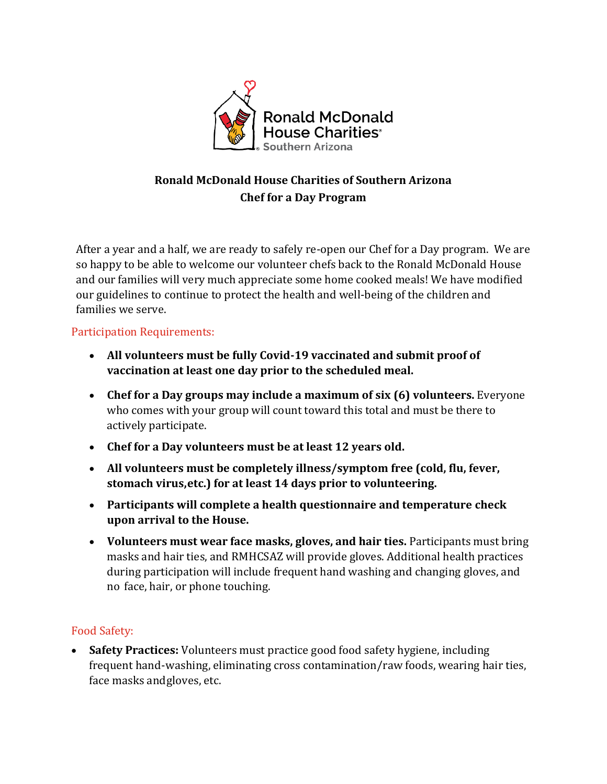

# **Ronald McDonald House Charities of Southern Arizona Chef for a Day Program**

After a year and a half, we are ready to safely re-open our Chef for a Day program. We are so happy to be able to welcome our volunteer chefs back to the Ronald McDonald House and our families will very much appreciate some home cooked meals! We have modified our guidelines to continue to protect the health and well-being of the children and families we serve.

## Participation Requirements:

- **All volunteers must be fully Covid-19 vaccinated and submit proof of vaccination at least one day prior to the scheduled meal.**
- **Chef for a Day groups may include a maximum of six (6) volunteers.** Everyone who comes with your group will count toward this total and must be there to actively participate.
- **Chef for a Day volunteers must be at least 12 years old.**
- **All volunteers must be completely illness/symptom free (cold, flu, fever, stomach virus,etc.) for at least 14 days prior to volunteering.**
- **Participants will complete a health questionnaire and temperature check upon arrival to the House.**
- **Volunteers must wear face masks, gloves, and hair ties.** Participants must bring masks and hair ties, and RMHCSAZ will provide gloves. Additional health practices during participation will include frequent hand washing and changing gloves, and no face, hair, or phone touching.

#### Food Safety:

• **Safety Practices:** Volunteers must practice good food safety hygiene, including frequent hand-washing, eliminating cross contamination/raw foods, wearing hair ties, face masks andgloves, etc.